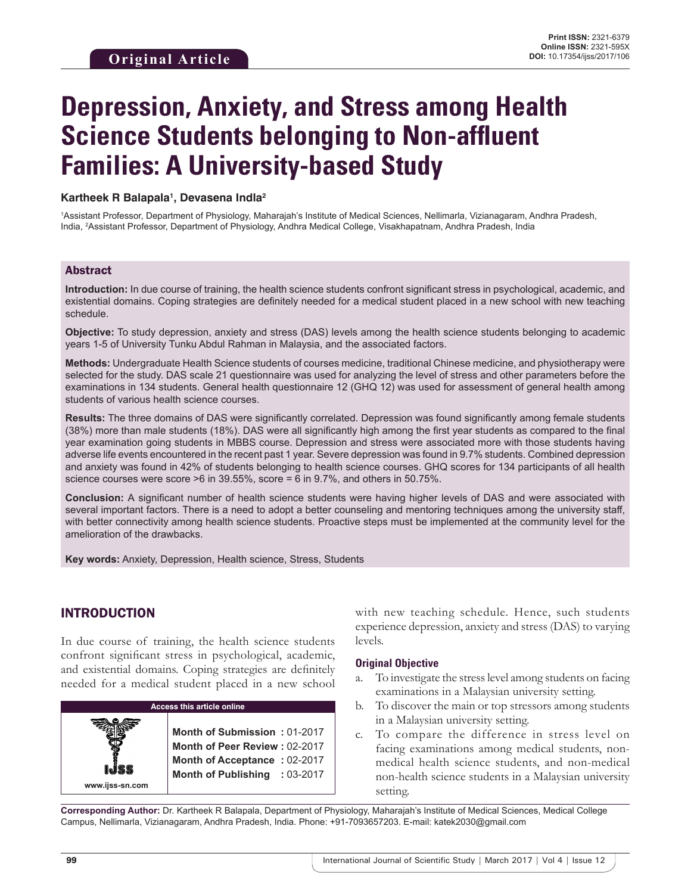# **Depression, Anxiety, and Stress among Health Science Students belonging to Non-affluent Families: A University-based Study**

#### **Kartheek R Balapala1 , Devasena Indla2**

1 Assistant Professor, Department of Physiology, Maharajah's Institute of Medical Sciences, Nellimarla, Vizianagaram, Andhra Pradesh, India, <sup>2</sup> Assistant Professor, Department of Physiology, Andhra Medical College, Visakhapatnam, Andhra Pradesh, India

#### Abstract

**Introduction:** In due course of training, the health science students confront significant stress in psychological, academic, and existential domains. Coping strategies are definitely needed for a medical student placed in a new school with new teaching schedule.

**Objective:** To study depression, anxiety and stress (DAS) levels among the health science students belonging to academic years 1-5 of University Tunku Abdul Rahman in Malaysia, and the associated factors.

**Methods:** Undergraduate Health Science students of courses medicine, traditional Chinese medicine, and physiotherapy were selected for the study. DAS scale 21 questionnaire was used for analyzing the level of stress and other parameters before the examinations in 134 students. General health questionnaire 12 (GHQ 12) was used for assessment of general health among students of various health science courses.

**Results:** The three domains of DAS were significantly correlated. Depression was found significantly among female students (38%) more than male students (18%). DAS were all significantly high among the first year students as compared to the final year examination going students in MBBS course. Depression and stress were associated more with those students having adverse life events encountered in the recent past 1 year. Severe depression was found in 9.7% students. Combined depression and anxiety was found in 42% of students belonging to health science courses. GHQ scores for 134 participants of all health science courses were score >6 in 39.55%, score = 6 in 9.7%, and others in 50.75%.

**Conclusion:** A significant number of health science students were having higher levels of DAS and were associated with several important factors. There is a need to adopt a better counseling and mentoring techniques among the university staff, with better connectivity among health science students. Proactive steps must be implemented at the community level for the amelioration of the drawbacks.

**Key words:** Anxiety, Depression, Health science, Stress, Students

# INTRODUCTION

In due course of training, the health science students confront significant stress in psychological, academic, and existential domains. Coping strategies are definitely needed for a medical student placed in a new school



with new teaching schedule. Hence, such students experience depression, anxiety and stress (DAS) to varying levels.

#### **Original Objective**

- a. To investigate the stress level among students on facing examinations in a Malaysian university setting.
- b. To discover the main or top stressors among students in a Malaysian university setting.
- c. To compare the difference in stress level on facing examinations among medical students, nonmedical health science students, and non-medical non-health science students in a Malaysian university setting.

**Corresponding Author:** Dr. Kartheek R Balapala, Department of Physiology, Maharajah's Institute of Medical Sciences, Medical College Campus, Nellimarla, Vizianagaram, Andhra Pradesh, India. Phone: +91-7093657203. E-mail: katek2030@gmail.com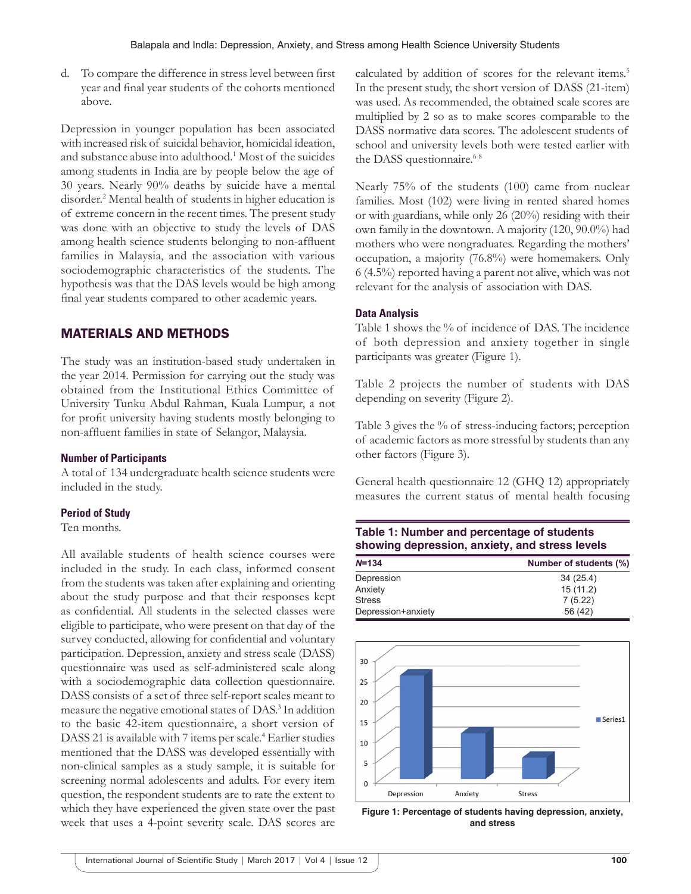d. To compare the difference in stress level between first year and final year students of the cohorts mentioned above.

Depression in younger population has been associated with increased risk of suicidal behavior, homicidal ideation, and substance abuse into adulthood.<sup>1</sup> Most of the suicides among students in India are by people below the age of 30 years. Nearly 90% deaths by suicide have a mental disorder.<sup>2</sup> Mental health of students in higher education is of extreme concern in the recent times. The present study was done with an objective to study the levels of DAS among health science students belonging to non-affluent families in Malaysia, and the association with various sociodemographic characteristics of the students. The hypothesis was that the DAS levels would be high among final year students compared to other academic years.

# MATERIALS AND METHODS

The study was an institution-based study undertaken in the year 2014. Permission for carrying out the study was obtained from the Institutional Ethics Committee of University Tunku Abdul Rahman, Kuala Lumpur, a not for profit university having students mostly belonging to non-affluent families in state of Selangor, Malaysia.

#### **Number of Participants**

A total of 134 undergraduate health science students were included in the study.

#### **Period of Study**

Ten months.

All available students of health science courses were included in the study. In each class, informed consent from the students was taken after explaining and orienting about the study purpose and that their responses kept as confidential. All students in the selected classes were eligible to participate, who were present on that day of the survey conducted, allowing for confidential and voluntary participation. Depression, anxiety and stress scale (DASS) questionnaire was used as self-administered scale along with a sociodemographic data collection questionnaire. DASS consists of a set of three self-report scales meant to measure the negative emotional states of DAS.3 In addition to the basic 42-item questionnaire, a short version of DASS 21 is available with 7 items per scale.<sup>4</sup> Earlier studies mentioned that the DASS was developed essentially with non-clinical samples as a study sample, it is suitable for screening normal adolescents and adults. For every item question, the respondent students are to rate the extent to which they have experienced the given state over the past week that uses a 4-point severity scale. DAS scores are

calculated by addition of scores for the relevant items.<sup>5</sup> In the present study, the short version of DASS (21-item) was used. As recommended, the obtained scale scores are multiplied by 2 so as to make scores comparable to the DASS normative data scores. The adolescent students of school and university levels both were tested earlier with the DASS questionnaire.<sup>6-8</sup>

Nearly 75% of the students (100) came from nuclear families. Most (102) were living in rented shared homes or with guardians, while only 26 (20%) residing with their own family in the downtown. A majority (120, 90.0%) had mothers who were nongraduates. Regarding the mothers' occupation, a majority (76.8%) were homemakers. Only 6 (4.5%) reported having a parent not alive, which was not relevant for the analysis of association with DAS.

#### **Data Analysis**

Table 1 shows the % of incidence of DAS. The incidence of both depression and anxiety together in single participants was greater (Figure 1).

Table 2 projects the number of students with DAS depending on severity (Figure 2).

Table 3 gives the % of stress-inducing factors; perception of academic factors as more stressful by students than any other factors (Figure 3).

General health questionnaire 12 (GHQ 12) appropriately measures the current status of mental health focusing

# **Table 1: Number and percentage of students showing depression, anxiety, and stress levels**

| $N = 134$          | Number of students (%) |
|--------------------|------------------------|
| Depression         | 34 (25.4)              |
| Anxiety            | 15(11.2)               |
| Stress             | 7(5.22)                |
| Depression+anxiety | 56 (42)                |



**Figure 1: Percentage of students having depression, anxiety, and stress**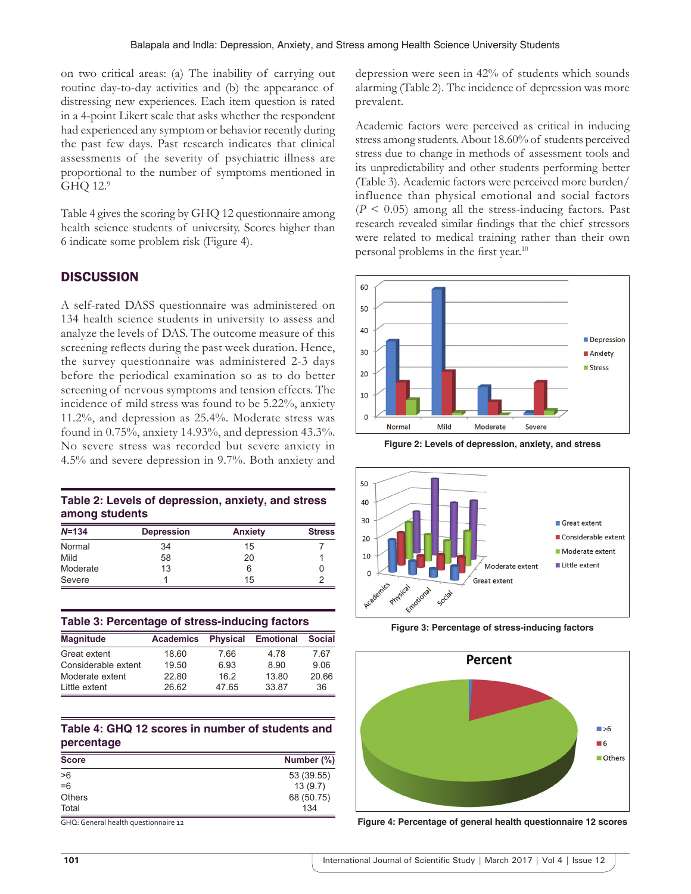on two critical areas: (a) The inability of carrying out routine day-to-day activities and (b) the appearance of distressing new experiences. Each item question is rated in a 4-point Likert scale that asks whether the respondent had experienced any symptom or behavior recently during the past few days. Past research indicates that clinical assessments of the severity of psychiatric illness are proportional to the number of symptoms mentioned in GHQ 12.9

Table 4 gives the scoring by GHQ 12 questionnaire among health science students of university. Scores higher than 6 indicate some problem risk (Figure 4).

#### **DISCUSSION**

A self-rated DASS questionnaire was administered on 134 health science students in university to assess and analyze the levels of DAS. The outcome measure of this screening reflects during the past week duration. Hence, the survey questionnaire was administered 2-3 days before the periodical examination so as to do better screening of nervous symptoms and tension effects. The incidence of mild stress was found to be 5.22%, anxiety 11.2%, and depression as 25.4%. Moderate stress was found in 0.75%, anxiety 14.93%, and depression 43.3%. No severe stress was recorded but severe anxiety in 4.5% and severe depression in 9.7%. Both anxiety and

| Table 2: Levels of depression, anxiety, and stress |  |
|----------------------------------------------------|--|
| among students                                     |  |

| $N = 134$ | <b>Depression</b> | <b>Anxiety</b> | <b>Stress</b> |
|-----------|-------------------|----------------|---------------|
| Normal    | 34                | 15             |               |
| Mild      | 58                | 20             |               |
| Moderate  | 13                | 6              |               |
| Severe    |                   | 15             |               |

|  |  |  | Table 3: Percentage of stress-inducing factors |  |
|--|--|--|------------------------------------------------|--|
|--|--|--|------------------------------------------------|--|

| <b>Magnitude</b>    | <b>Academics</b> | <b>Physical</b> | <b>Emotional</b> | <b>Social</b> |
|---------------------|------------------|-----------------|------------------|---------------|
| Great extent        | 18.60            | 7.66            | 4 78             | 7.67          |
| Considerable extent | 19.50            | 6.93            | 8.90             | 9.06          |
| Moderate extent     | 22.80            | 162             | 13.80            | 20.66         |
| Little extent       | 26.62            | 4765            | 33.87            | 36            |

#### **Table 4: GHQ 12 scores in number of students and percentage**

| <b>Score</b>  | Number (%) |  |
|---------------|------------|--|
| >6            | 53 (39.55) |  |
| $=6$          | 13(9.7)    |  |
| <b>Others</b> | 68 (50.75) |  |
| Total         | 134        |  |

GHQ: General health questionnaire 12

depression were seen in 42% of students which sounds alarming (Table 2). The incidence of depression was more prevalent.

Academic factors were perceived as critical in inducing stress among students. About 18.60% of students perceived stress due to change in methods of assessment tools and its unpredictability and other students performing better (Table 3). Academic factors were perceived more burden/ influence than physical emotional and social factors  $(P < 0.05)$  among all the stress-inducing factors. Past research revealed similar findings that the chief stressors were related to medical training rather than their own personal problems in the first year.<sup>10</sup>



**Figure 2: Levels of depression, anxiety, and stress**



**Figure 3: Percentage of stress-inducing factors**



**Figure 4: Percentage of general health questionnaire 12 scores**